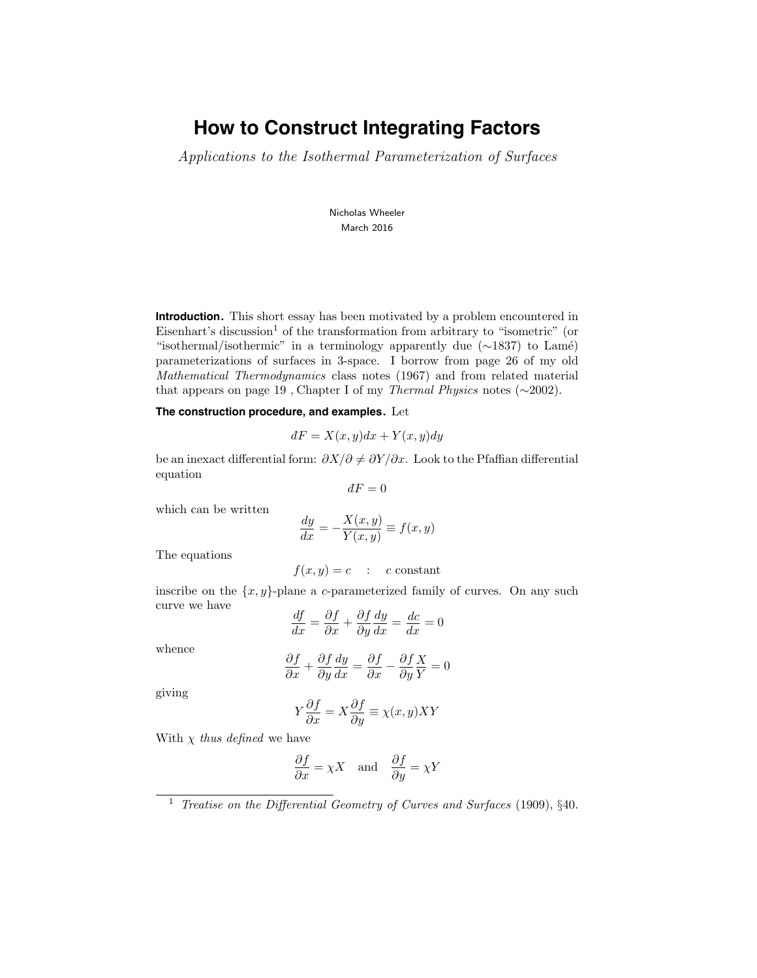# **How to Construct Integrating Factors**

Applications to the Isothermal Parameterization of Surfaces

Nicholas Wheeler March 2016

**Introduction.** This short essay has been motivated by a problem encountered in Eisenhart's discussion<sup>1</sup> of the transformation from arbitrary to "isometric" (or "isothermal/isothermic" in a terminology apparently due (∼1837) to Lam´e) parameterizations of surfaces in 3-space. I borrow from page 26 of my old Mathematical Thermodynamics class notes (1967) and from related material that appears on page 19 , Chapter I of my Thermal Physics notes (∼2002).

**The construction procedure, and examples.** Let

$$
dF = X(x, y)dx + Y(x, y)dy
$$

be an inexact differential form:  $\partial X/\partial \neq \partial Y/\partial x$ . Look to the Pfaffian differential equation

$$
dF=0
$$

which can be written

$$
\frac{dy}{dx} = -\frac{X(x,y)}{Y(x,y)} \equiv f(x,y)
$$

The equations

$$
f(x,y) = c : c \text{ constant}
$$

inscribe on the  $\{x, y\}$ -plane a c-parameterized family of curves. On any such curve we have

$$
\frac{df}{dx} = \frac{\partial f}{\partial x} + \frac{\partial f}{\partial y}\frac{dy}{dx} = \frac{dc}{dx} = 0
$$

whence

$$
\frac{\partial f}{\partial x} + \frac{\partial f}{\partial y}\frac{dy}{dx} = \frac{\partial f}{\partial x} - \frac{\partial f}{\partial y}\frac{X}{Y} = 0
$$

giving

$$
Y\frac{\partial f}{\partial x} = X\frac{\partial f}{\partial y} \equiv \chi(x, y)XY
$$

With  $\chi$  thus defined we have

$$
\frac{\partial f}{\partial x} = \chi X \quad \text{and} \quad \frac{\partial f}{\partial y} = \chi Y
$$

<sup>&</sup>lt;sup>1</sup> Treatise on the Differential Geometry of Curves and Surfaces (1909),  $§40$ .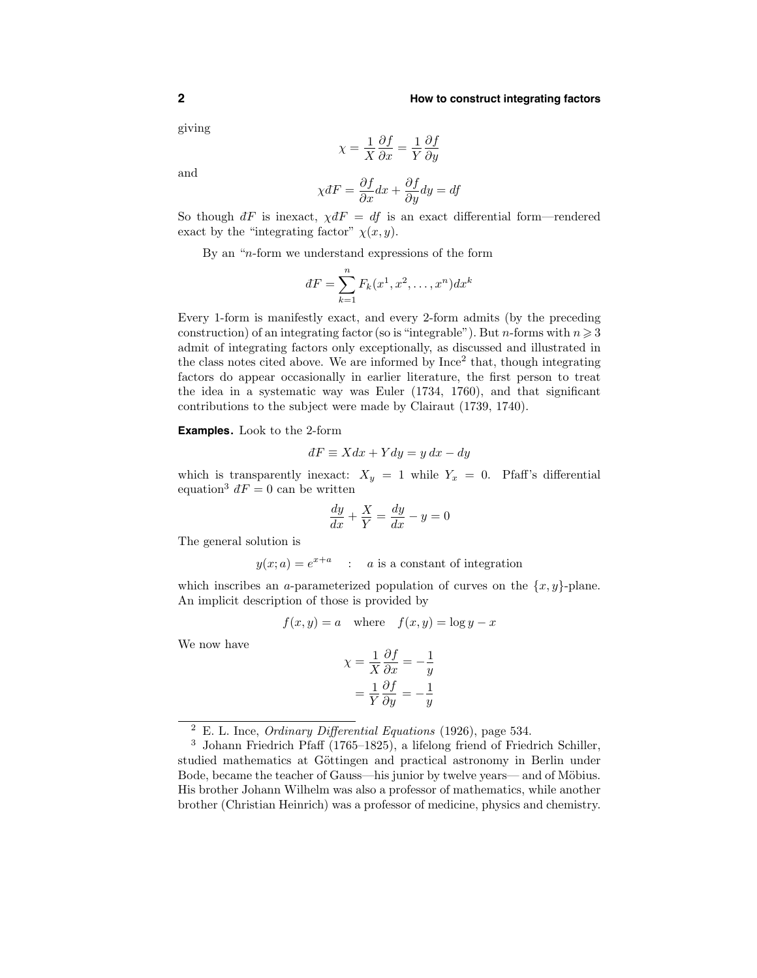#### **2 How to construct integrating factors**

giving

$$
\chi = \frac{1}{X} \frac{\partial f}{\partial x} = \frac{1}{Y} \frac{\partial f}{\partial y}
$$

and

$$
\chi dF = \frac{\partial f}{\partial x} dx + \frac{\partial f}{\partial y} dy = df
$$

So though  $dF$  is inexact,  $\chi dF = df$  is an exact differential form—rendered exact by the "integrating factor"  $\chi(x, y)$ .

By an "n-form we understand expressions of the form

$$
dF = \sum_{k=1}^{n} F_k(x^1, x^2, \dots, x^n) dx^k
$$

Every 1-form is manifestly exact, and every 2-form admits (by the preceding construction) of an integrating factor (so is "integrable"). But *n*-forms with  $n \geq 3$ admit of integrating factors only exceptionally, as discussed and illustrated in the class notes cited above. We are informed by  $Ince<sup>2</sup> that, though integrating$ factors do appear occasionally in earlier literature, the first person to treat the idea in a systematic way was Euler (1734, 1760), and that significant contributions to the subject were made by Clairaut (1739, 1740).

**Examples.** Look to the 2-form

$$
dF \equiv Xdx + Ydy = y\,dx - dy
$$

which is transparently inexact:  $X_y = 1$  while  $Y_x = 0$ . Pfaff's differential equation<sup>3</sup>  $\overline{d}F = 0$  can be written

$$
\frac{dy}{dx} + \frac{X}{Y} = \frac{dy}{dx} - y = 0
$$

The general solution is

$$
y(x; a) = e^{x+a}
$$
 : *a* is a constant of integration

which inscribes an a-parameterized population of curves on the  $\{x, y\}$ -plane. An implicit description of those is provided by

$$
f(x, y) = a \quad \text{where} \quad f(x, y) = \log y - x
$$

We now have

$$
\chi = \frac{1}{X} \frac{\partial f}{\partial x} = -\frac{1}{y}
$$

$$
= \frac{1}{Y} \frac{\partial f}{\partial y} = -\frac{1}{y}
$$

 $\frac{2}{2}$  E. L. Ince, *Ordinary Differential Equations* (1926), page 534.

<sup>3</sup> Johann Friedrich Pfaff (1765–1825), a lifelong friend of Friedrich Schiller, studied mathematics at Göttingen and practical astronomy in Berlin under Bode, became the teacher of Gauss—his junior by twelve years— and of Möbius. His brother Johann Wilhelm was also a professor of mathematics, while another brother (Christian Heinrich) was a professor of medicine, physics and chemistry.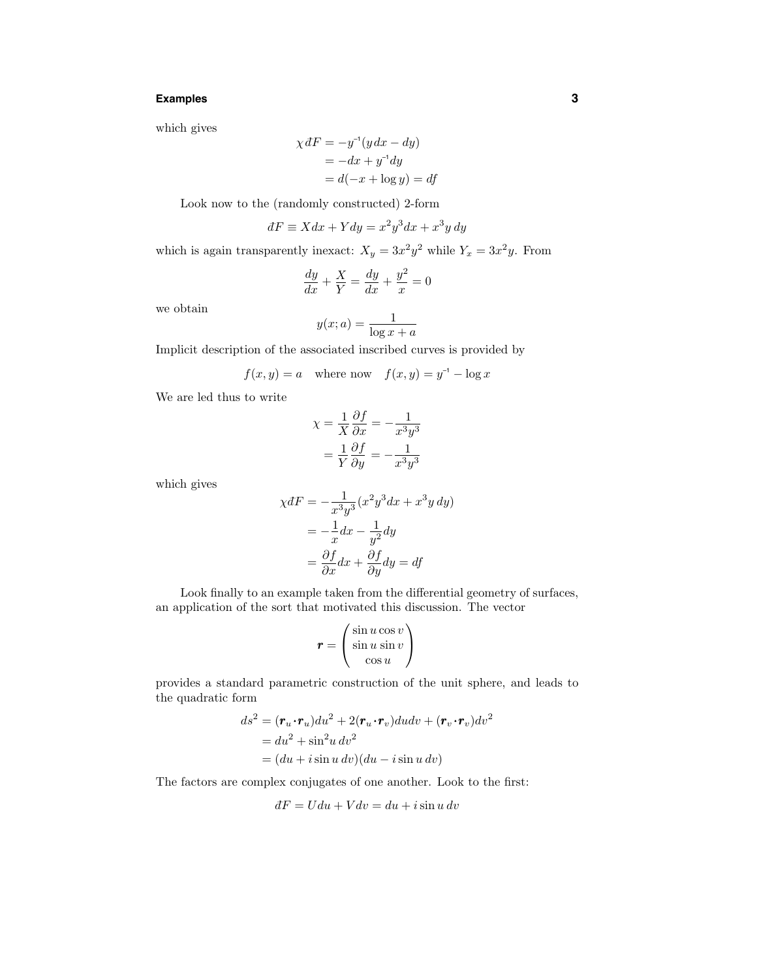## **Examples 3**

which gives

$$
\chi dF = -y^{-1}(y dx - dy)
$$
  
= -dx + y<sup>-1</sup>dy  
= d(-x + log y) = df

Look now to the (randomly constructed) 2-form

$$
dF \equiv X dx + Y dy = x^2 y^3 dx + x^3 y dy
$$

which is again transparently inexact:  $X_y = 3x^2y^2$  while  $Y_x = 3x^2y$ . From

$$
\frac{dy}{dx} + \frac{X}{Y} = \frac{dy}{dx} + \frac{y^2}{x} = 0
$$

we obtain

$$
y(x;a) = \frac{1}{\log x + a}
$$

Implicit description of the associated inscribed curves is provided by

$$
f(x, y) = a \quad \text{where now} \quad f(x, y) = y^{-1} - \log x
$$

We are led thus to write

$$
\chi = \frac{1}{X} \frac{\partial f}{\partial x} = -\frac{1}{x^3 y^3}
$$

$$
= \frac{1}{Y} \frac{\partial f}{\partial y} = -\frac{1}{x^3 y^3}
$$

which gives

$$
\chi dF = -\frac{1}{x^3 y^3} (x^2 y^3 dx + x^3 y dy)
$$

$$
= -\frac{1}{x} dx - \frac{1}{y^2} dy
$$

$$
= \frac{\partial f}{\partial x} dx + \frac{\partial f}{\partial y} dy = df
$$

Look finally to an example taken from the differential geometry of surfaces, an application of the sort that motivated this discussion. The vector

$$
\boldsymbol{r} = \begin{pmatrix} \sin u \cos v \\ \sin u \sin v \\ \cos u \end{pmatrix}
$$

provides a standard parametric construction of the unit sphere, and leads to the quadratic form

$$
ds2 = (\mathbf{r}_u \cdot \mathbf{r}_u) du2 + 2(\mathbf{r}_u \cdot \mathbf{r}_v) du dv + (\mathbf{r}_v \cdot \mathbf{r}_v) dv2
$$
  
=  $du2 + \sin2 u dv2$   
=  $(du + i \sin u dv)(du - i \sin u dv)$ 

The factors are complex conjugates of one another. Look to the first:

$$
dF = Udu + Vdv = du + i\sin u \, dv
$$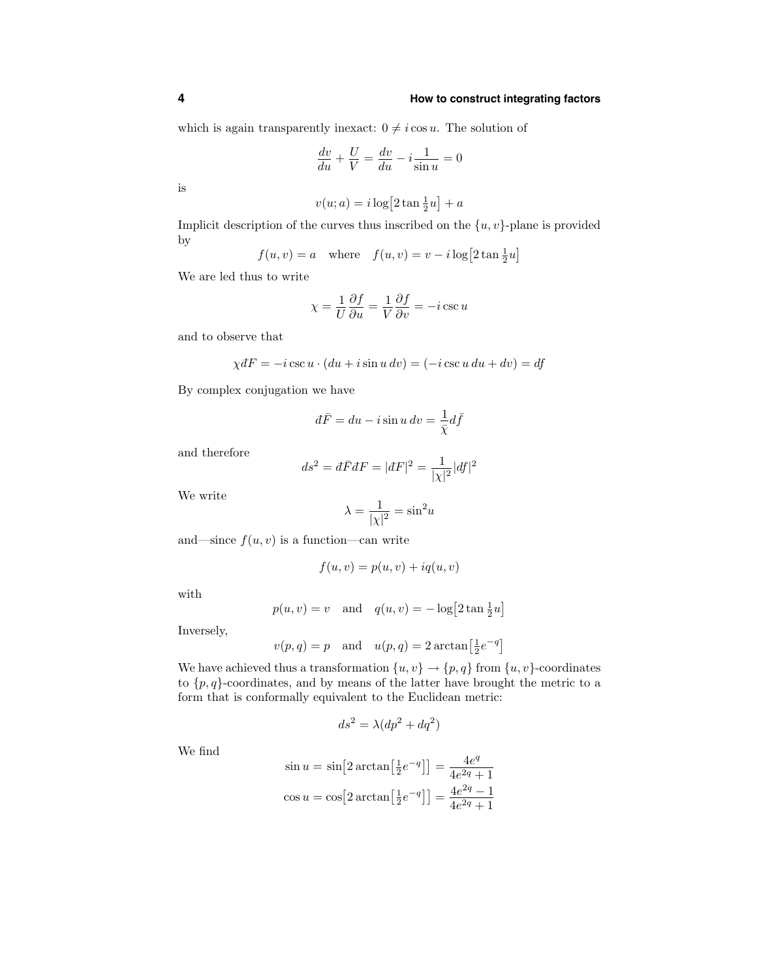which is again transparently inexact:  $0 \neq i \cos u$ . The solution of

$$
\frac{dv}{du} + \frac{U}{V} = \frac{dv}{du} - i\frac{1}{\sin u} = 0
$$

is

$$
v(u;a) = i \log \left[2 \tan \frac{1}{2}u\right] + a
$$

Implicit description of the curves thus inscribed on the  $\{u, v\}$ -plane is provided by

$$
f(u, v) = a \quad \text{where} \quad f(u, v) = v - i \log \left[ 2 \tan \frac{1}{2} u \right]
$$

We are led thus to write

$$
\chi = \frac{1}{U} \frac{\partial f}{\partial u} = \frac{1}{V} \frac{\partial f}{\partial v} = -i \csc u
$$

and to observe that

$$
\chi dF = -i \csc u \cdot (du + i \sin u \, dv) = (-i \csc u \, du + dv) = df
$$

By complex conjugation we have

$$
d\bar{F} = du - i\sin u \, dv = \frac{1}{\bar{\chi}} d\bar{f}
$$

and therefore

$$
ds^{2} = d\bar{F}dF = |dF|^{2} = \frac{1}{|\chi|^{2}}|df|^{2}
$$

We write

$$
\lambda = \frac{1}{|\chi|^2} = \sin^2 u
$$

and—since  $f(u, v)$  is a function—can write

$$
f(u, v) = p(u, v) + iq(u, v)
$$

with

$$
p(u, v) = v
$$
 and  $q(u, v) = -\log[2 \tan \frac{1}{2}u]$ 

Inversely,

$$
v(p,q) = p
$$
 and  $u(p,q) = 2 \arctan\left[\frac{1}{2}e^{-q}\right]$ 

We have achieved thus a transformation  $\{u, v\} \rightarrow \{p, q\}$  from  $\{u, v\}$ -coordinates to  $\{p, q\}$ -coordinates, and by means of the latter have brought the metric to a form that is conformally equivalent to the Euclidean metric:

$$
ds^2 = \lambda (dp^2 + dq^2)
$$

We find

$$
\sin u = \sin \left[ 2 \arctan \left[ \frac{1}{2} e^{-q} \right] \right] = \frac{4e^q}{4e^{2q} + 1}
$$

$$
\cos u = \cos \left[ 2 \arctan \left[ \frac{1}{2} e^{-q} \right] \right] = \frac{4e^{2q} - 1}{4e^{2q} + 1}
$$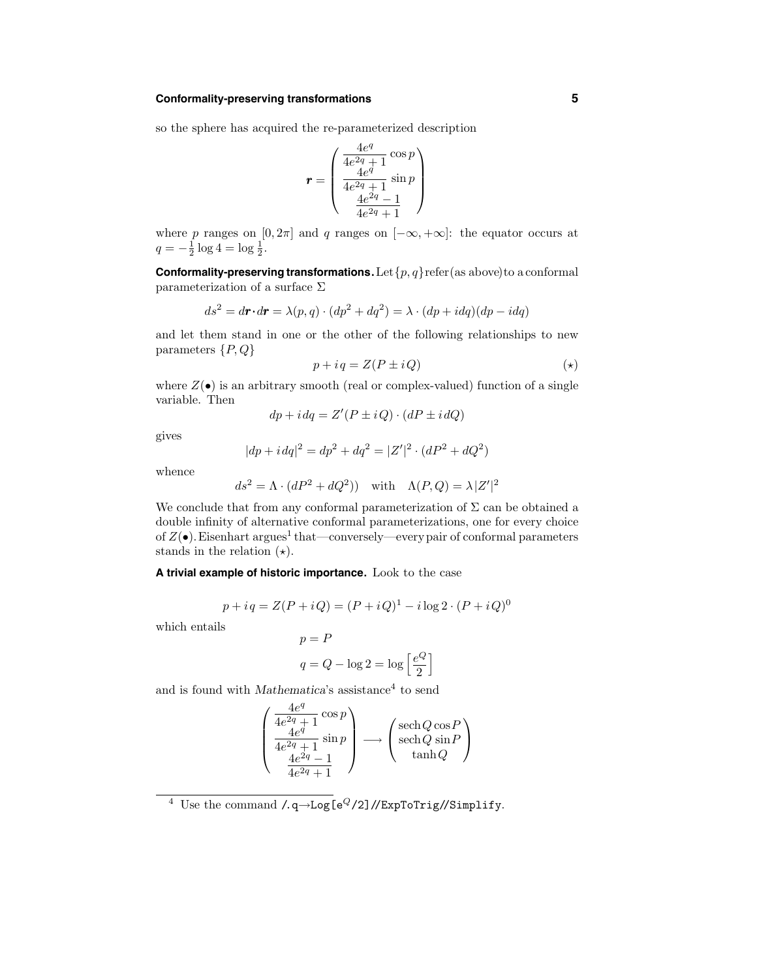## **Conformality-preserving transformations 5**

so the sphere has acquired the re-parameterized description

$$
\mathbf{r} = \begin{pmatrix} \frac{4e^q}{4e^{2q} + 1} \cos p \\ \frac{4e^q}{4e^{2q} + 1} \sin p \\ \frac{4e^{2q} - 1}{4e^{2q} + 1} \end{pmatrix}
$$

where p ranges on  $[0, 2\pi]$  and q ranges on  $[-\infty, +\infty]$ : the equator occurs at  $q = -\frac{1}{2} \log 4 = \log \frac{1}{2}.$ 

**Conformality-preserving transformations.** Let  $\{p, q\}$  refer (as above) to a conformal parameterization of a surface  $\Sigma$ 

$$
ds^{2} = d\mathbf{r} \cdot d\mathbf{r} = \lambda(p, q) \cdot (dp^{2} + dq^{2}) = \lambda \cdot (dp + idq)(dp - idq)
$$

and let them stand in one or the other of the following relationships to new parameters  $\{P,Q\}$ 

$$
p + iq = Z(P \pm iQ) \tag{\star}
$$

where  $Z(\bullet)$  is an arbitrary smooth (real or complex-valued) function of a single variable. Then

$$
dp + i dq = Z'(P \pm i Q) \cdot (dP \pm i dQ)
$$

gives

$$
|dp + i\,dq|^2 = dp^2 + dq^2 = |Z'|^2\cdot(dP^2 + dQ^2)
$$

whence

$$
ds^{2} = \Lambda \cdot (dP^{2} + dQ^{2})) \quad \text{with} \quad \Lambda(P, Q) = \lambda |Z'|^{2}
$$

We conclude that from any conformal parameterization of  $\Sigma$  can be obtained a double infinity of alternative conformal parameterizations, one for every choice of  $Z(\bullet)$ . Eisenhart argues<sup>1</sup> that—conversely—every pair of conformal parameters stands in the relation  $(\star)$ .

#### **A trivial example of historic importance.** Look to the case

 $p = P$ 

$$
p + iq = Z(P + iQ) = (P + iQ)^{1} - i \log 2 \cdot (P + iQ)^{0}
$$

which entails

$$
q = Q - \log 2 = \log \left[ \frac{e^{Q}}{2} \right]
$$

and is found with Mathematica's assistance<sup>4</sup> to send

$$
\begin{pmatrix} \frac{4e^q}{4e^{2q} + 1} \cos p \\ \frac{4e^q}{4e^{2q} + 1} \sin p \\ \frac{4e^{2q} - 1}{4e^{2q} + 1} \end{pmatrix} \longrightarrow \begin{pmatrix} \mathrm{sech}\,Q\cos P \\ \mathrm{sech}\,Q\sin P \\ \tanh Q \end{pmatrix}
$$

<sup>&</sup>lt;sup>4</sup> Use the command  $\overline{A}$ , q→Log[e<sup>Q</sup>/2]//ExpToTrig//Simplify.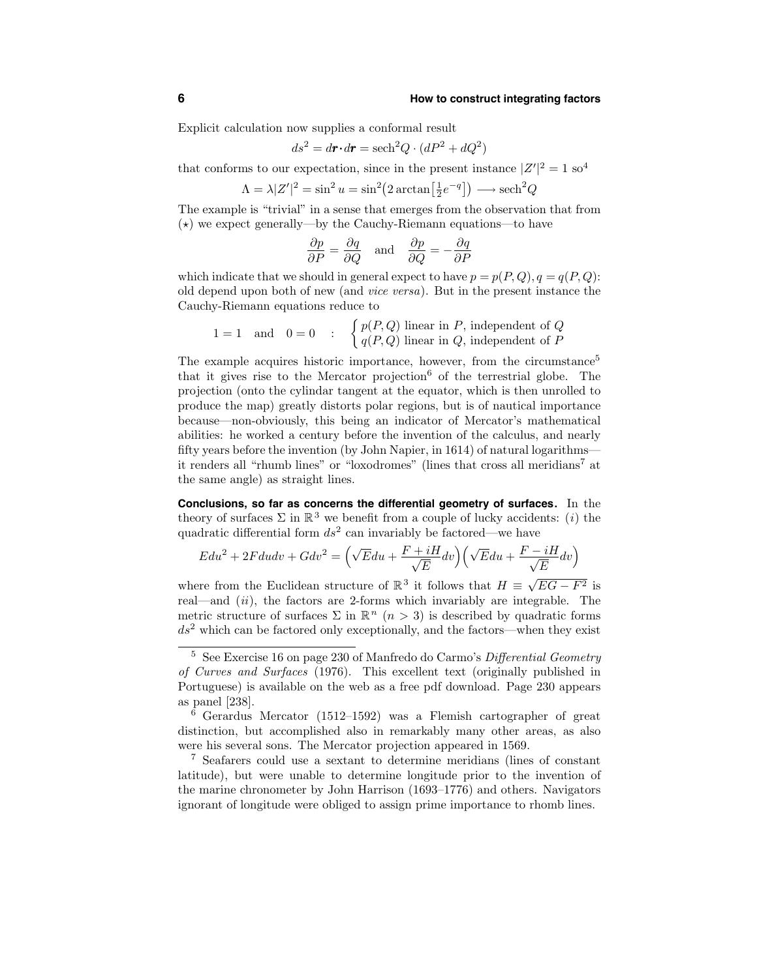Explicit calculation now supplies a conformal result

$$
ds^2 = d\mathbf{r} \cdot d\mathbf{r} = \operatorname{sech}^2 Q \cdot (dP^2 + dQ^2)
$$

that conforms to our expectation, since in the present instance  $|Z'|^2 = 1$  so<sup>4</sup>

$$
\Lambda = \lambda |Z'|^2 = \sin^2 u = \sin^2(2 \arctan\left[\frac{1}{2}e^{-q}\right]) \longrightarrow \text{sech}^2 Q
$$

The example is "trivial" in a sense that emerges from the observation that from  $(\star)$  we expect generally—by the Cauchy-Riemann equations—to have

$$
\frac{\partial p}{\partial P} = \frac{\partial q}{\partial Q} \quad \text{and} \quad \frac{\partial p}{\partial Q} = -\frac{\partial q}{\partial P}
$$

which indicate that we should in general expect to have  $p = p(P, Q), q = q(P, Q)$ : old depend upon both of new (and vice versa). But in the present instance the Cauchy-Riemann equations reduce to

$$
1 = 1
$$
 and  $0 = 0$  : 
$$
\begin{cases} p(P,Q) \text{ linear in } P, \text{ independent of } Q \\ q(P,Q) \text{ linear in } Q, \text{ independent of } P \end{cases}
$$

The example acquires historic importance, however, from the circumstance<sup>5</sup> that it gives rise to the Mercator projection<sup>6</sup> of the terrestrial globe. The projection (onto the cylindar tangent at the equator, which is then unrolled to produce the map) greatly distorts polar regions, but is of nautical importance because—non-obviously, this being an indicator of Mercator's mathematical abilities: he worked a century before the invention of the calculus, and nearly fifty years before the invention (by John Napier, in 1614) of natural logarithms it renders all "rhumb lines" or "loxodromes" (lines that cross all meridians<sup>7</sup> at the same angle) as straight lines.

**Conclusions, so far as concerns the differential geometry of surfaces.** In the theory of surfaces  $\Sigma$  in  $\mathbb{R}^3$  we benefit from a couple of lucky accidents: (*i*) the quadratic differential form  $ds^2$  can invariably be factored—we have

$$
E du^{2} + 2F du dv + G dv^{2} = \left(\sqrt{E} du + \frac{F + iH}{\sqrt{E}} dv\right) \left(\sqrt{E} du + \frac{F - iH}{\sqrt{E}} dv\right)
$$

where from the Euclidean structure of  $\mathbb{R}^3$  it follows that  $H = \sqrt{EG - F^2}$  is real—and  $(ii)$ , the factors are 2-forms which invariably are integrable. The metric structure of surfaces  $\Sigma$  in  $\mathbb{R}^n$   $(n > 3)$  is described by quadratic forms  $ds<sup>2</sup>$  which can be factored only exceptionally, and the factors—when they exist

 $5$  See Exercise 16 on page 230 of Manfredo do Carmo's Differential Geometry of Curves and Surfaces (1976). This excellent text (originally published in Portuguese) is available on the web as a free pdf download. Page 230 appears as panel [238].

<sup>6</sup> Gerardus Mercator (1512–1592) was a Flemish cartographer of great distinction, but accomplished also in remarkably many other areas, as also were his several sons. The Mercator projection appeared in 1569.

<sup>7</sup> Seafarers could use a sextant to determine meridians (lines of constant latitude), but were unable to determine longitude prior to the invention of the marine chronometer by John Harrison (1693–1776) and others. Navigators ignorant of longitude were obliged to assign prime importance to rhomb lines.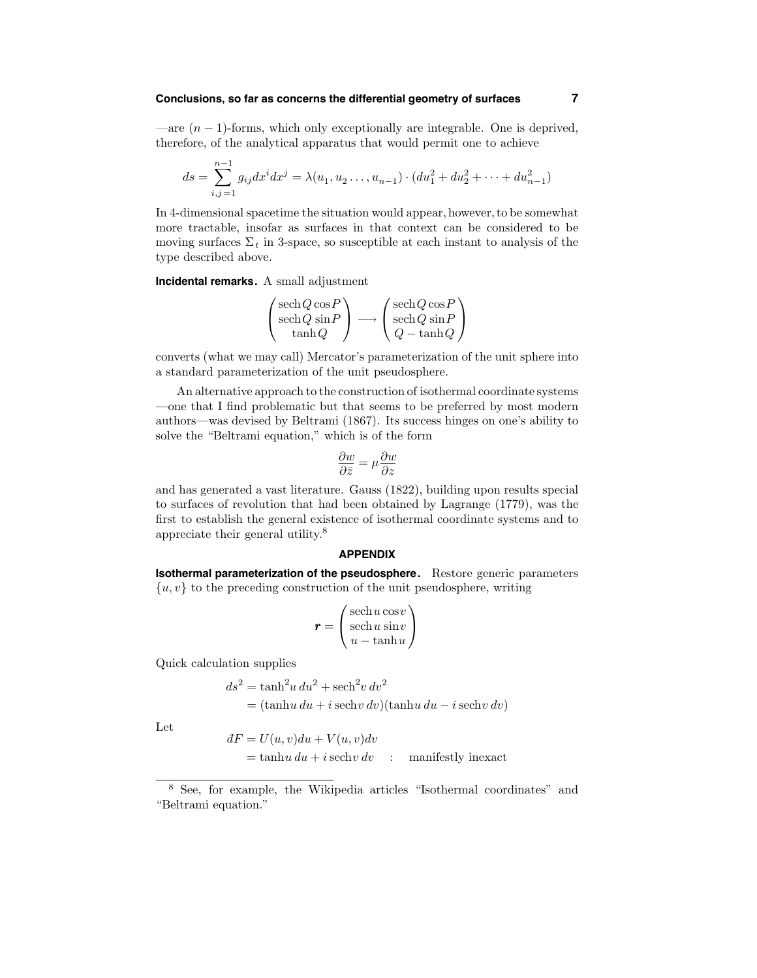## **Conclusions, so far as concerns the differential geometry of surfaces 7**

—are  $(n - 1)$ -forms, which only exceptionally are integrable. One is deprived, therefore, of the analytical apparatus that would permit one to achieve

$$
ds = \sum_{i,j=1}^{n-1} g_{ij} dx^i dx^j = \lambda(u_1, u_2 \dots, u_{n-1}) \cdot (du_1^2 + du_2^2 + \dots + du_{n-1}^2)
$$

In 4-dimensional spacetime the situation would appear, however,to be somewhat more tractable, insofar as surfaces in that context can be considered to be moving surfaces  $\Sigma_t$  in 3-space, so susceptible at each instant to analysis of the type described above.

**Incidental remarks.** A small adjustment

$$
\begin{pmatrix} \mathrm{sech}\,Q\cos P\\ \mathrm{sech}\,Q\,\sin P\\ \tanh Q \end{pmatrix} \longrightarrow \begin{pmatrix} \mathrm{sech}\,Q\cos P\\ \mathrm{sech}\,Q\,\sin P\\ Q-\tanh Q \end{pmatrix}
$$

converts (what we may call) Mercator's parameterization of the unit sphere into a standard parameterization of the unit pseudosphere.

An alternative approach to the construction of isothermal coordinate systems —one that I find problematic but that seems to be preferred by most modern authors—was devised by Beltrami (1867). Its success hinges on one's ability to solve the "Beltrami equation," which is of the form

$$
\frac{\partial w}{\partial \bar{z}} = \mu \frac{\partial w}{\partial z}
$$

and has generated a vast literature. Gauss (1822), building upon results special to surfaces of revolution that had been obtained by Lagrange (1779), was the first to establish the general existence of isothermal coordinate systems and to appreciate their general utility. 8

#### **APPENDIX**

**Isothermal parameterization of the pseudosphere.** Restore generic parameters  $\{u, v\}$  to the preceding construction of the unit pseudosphere, writing

$$
\boldsymbol{r} = \begin{pmatrix} \operatorname{sech} u \operatorname{cos} v \\ \operatorname{sech} u \operatorname{sin} v \\ u - \operatorname{tanh} u \end{pmatrix}
$$

Quick calculation supplies

$$
ds^{2} = \tanh^{2} u \, du^{2} + \operatorname{sech}^{2} v \, dv^{2}
$$

$$
= (\tanh u \, du + i \operatorname{sech} v \, dv)(\tanh u \, du - i \operatorname{sech} v \, dv)
$$

Let

$$
dF = U(u, v)du + V(u, v)dv
$$
  
= tanhu du + i sechv dv : manifestly inexact

<sup>8</sup> See, for example, the Wikipedia articles "Isothermal coordinates" and "Beltrami equation."